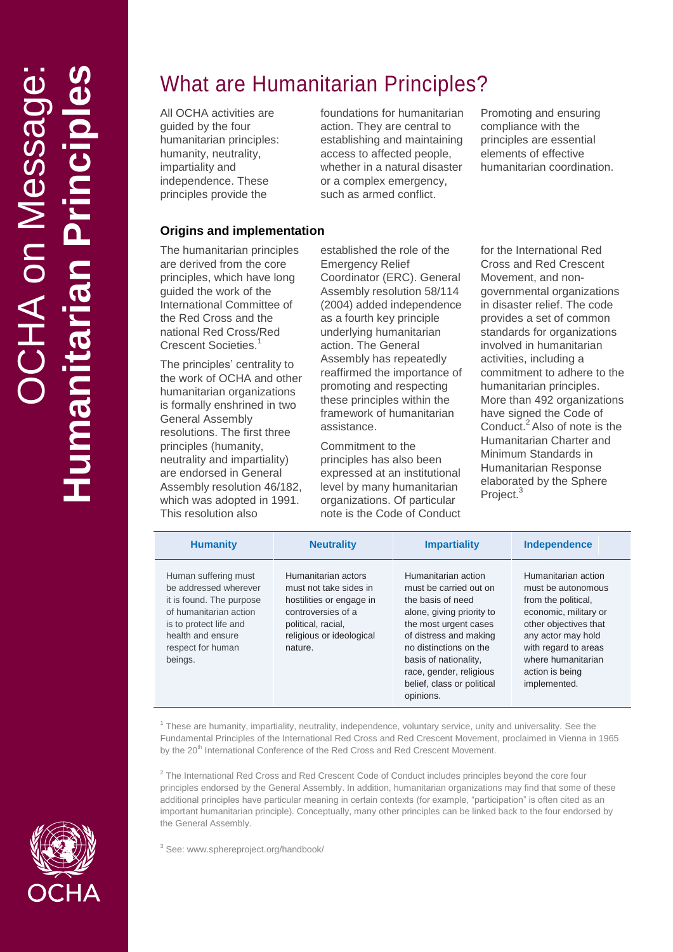# What are Humanitarian Principles?

All OCHA activities are guided by the four humanitarian principles: humanity, neutrality, impartiality and independence. These principles provide the

foundations for humanitarian action. They are central to establishing and maintaining access to affected people, whether in a natural disaster or a complex emergency, such as armed conflict.

Promoting and ensuring compliance with the principles are essential element s of effective humanitarian coordination.

#### **Origins and implementation**

The humanitarian principles are derived from the core principles, which have long guided the work of the International Committee of the Red Cross and the national Red Cross/Red Crescent Societies.<sup>1</sup>

The principles' centrality to the work of OCHA and other humanitarian organizations is formally enshrined in two General Assembly resolutions. The first three principles (humanity, neutrality and impartiality) are endorsed in General Assembly resolution 46/182, which was adopted in 1991. This resolution also

established the role of the Emergency Relief Coordinator (ERC). General Assembly resolution 58/114 (2004) added independence as a fourth key principle underlying humanitarian action. The General Assembly has repeatedly reaffirmed the importance of promoting and respecting these principles within the framework of humanitarian assistance.

Commitment to the principles has also been expressed at an institutional level by many humanitarian organizations. Of particular note is the Code of Conduct for the International Red Cross and Red Crescent Movement, and non governmental organizations in disaster relief. The code provides a set of common standards for organizations involved in humanitarian activities, including a commitment to adhere to the humanitarian principles. More than 492 organizations have signed the Code of Conduct. 2 Also of note is the Humanitarian Charter and Minimum Standards in Humanitarian Response elaborated by the Sphere Project.<sup>3</sup>

| <b>Humanity</b>                                                                                                                                                                    | <b>Neutrality</b>                                                                                                                                            | <b>Impartiality</b>                                                                                                                                                                                                                                                         | Independence                                                                                                                                                                                                              |
|------------------------------------------------------------------------------------------------------------------------------------------------------------------------------------|--------------------------------------------------------------------------------------------------------------------------------------------------------------|-----------------------------------------------------------------------------------------------------------------------------------------------------------------------------------------------------------------------------------------------------------------------------|---------------------------------------------------------------------------------------------------------------------------------------------------------------------------------------------------------------------------|
| Human suffering must<br>be addressed wherever<br>it is found. The purpose<br>of humanitarian action<br>is to protect life and<br>health and ensure<br>respect for human<br>beings. | Humanitarian actors<br>must not take sides in<br>hostilities or engage in<br>controversies of a<br>political, racial,<br>religious or ideological<br>nature. | Humanitarian action<br>must be carried out on<br>the basis of need<br>alone, giving priority to<br>the most urgent cases<br>of distress and making<br>no distinctions on the<br>basis of nationality,<br>race, gender, religious<br>belief, class or political<br>opinions. | Humanitarian action<br>must be autonomous<br>from the political,<br>economic, military or<br>other objectives that<br>any actor may hold<br>with regard to areas<br>where humanitarian<br>action is being<br>implemented. |

<sup>1</sup> These are humanity, impartiality, neutrality, independence, voluntary service, unity and universality. See the Fundamental Principles of the International Red Cross and Red Crescent Movement, proclaimed in Vienna in 1965 by the 20<sup>th</sup> International Conference of the Red Cross and Red Crescent Movement.

<sup>2</sup> The International Red Cross and Red Crescent Code of Conduct includes principles beyond the core four principles endorsed by the General Assembly. In addition, humanitarian organizations may find that some of these additional principles have particular meaning in certain contexts (for example, "participation" is often cited as an important humanitarian principle). Conceptually, many other principles can be linked back to the four endorsed by the General Assembly.

<sup>3</sup> See: www.sphereproject.org/handbook/